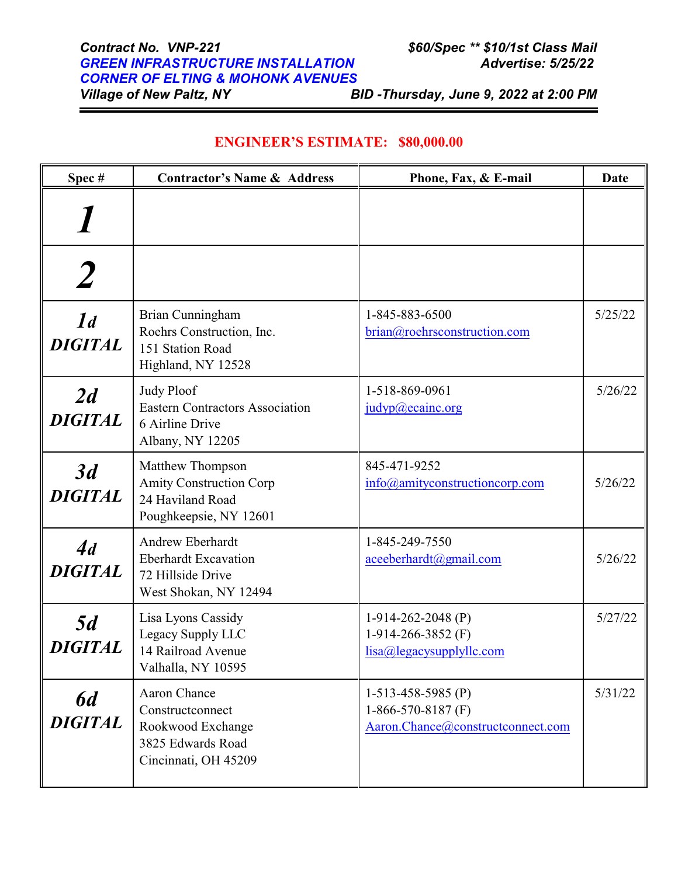*Village of New Paltz, NY BID -Thursday, June 9, 2022 at 2:00 PM*

| Spec#                            | <b>Contractor's Name &amp; Address</b>                                                                    | Phone, Fax, & E-mail                                                              | <b>Date</b> |
|----------------------------------|-----------------------------------------------------------------------------------------------------------|-----------------------------------------------------------------------------------|-------------|
|                                  |                                                                                                           |                                                                                   |             |
|                                  |                                                                                                           |                                                                                   |             |
| $\mathcal{I}d$<br><b>DIGITAL</b> | Brian Cunningham<br>Roehrs Construction, Inc.<br>151 Station Road<br>Highland, NY 12528                   | 1-845-883-6500<br>brian@roehrsconstruction.com                                    | 5/25/22     |
| 2d<br><b>DIGITAL</b>             | <b>Judy Ploof</b><br><b>Eastern Contractors Association</b><br>6 Airline Drive<br>Albany, NY 12205        | 1-518-869-0961<br>judyp@ecainc.org                                                | 5/26/22     |
| 3d<br><b>DIGITAL</b>             | Matthew Thompson<br><b>Amity Construction Corp</b><br>24 Haviland Road<br>Poughkeepsie, NY 12601          | 845-471-9252<br>info@amityconstructioncorp.com                                    | 5/26/22     |
| 4d<br><b>DIGITAL</b>             | Andrew Eberhardt<br><b>Eberhardt Excavation</b><br>72 Hillside Drive<br>West Shokan, NY 12494             | 1-845-249-7550<br>aceeberhardt@gmail.com                                          | 5/26/22     |
| 5d<br><b>DIGITAL</b>             | Lisa Lyons Cassidy<br>Legacy Supply LLC<br>14 Railroad Avenue<br>Valhalla, NY 10595                       | $1-914-262-2048$ (P)<br>1-914-266-3852 $(F)$<br>lisa@legacysupplyllc.com          | 5/27/22     |
| 6d<br><b>DIGITAL</b>             | <b>Aaron Chance</b><br>Constructconnect<br>Rookwood Exchange<br>3825 Edwards Road<br>Cincinnati, OH 45209 | $1-513-458-5985$ (P)<br>1-866-570-8187 $(F)$<br>Aaron.Chance@constructconnect.com | 5/31/22     |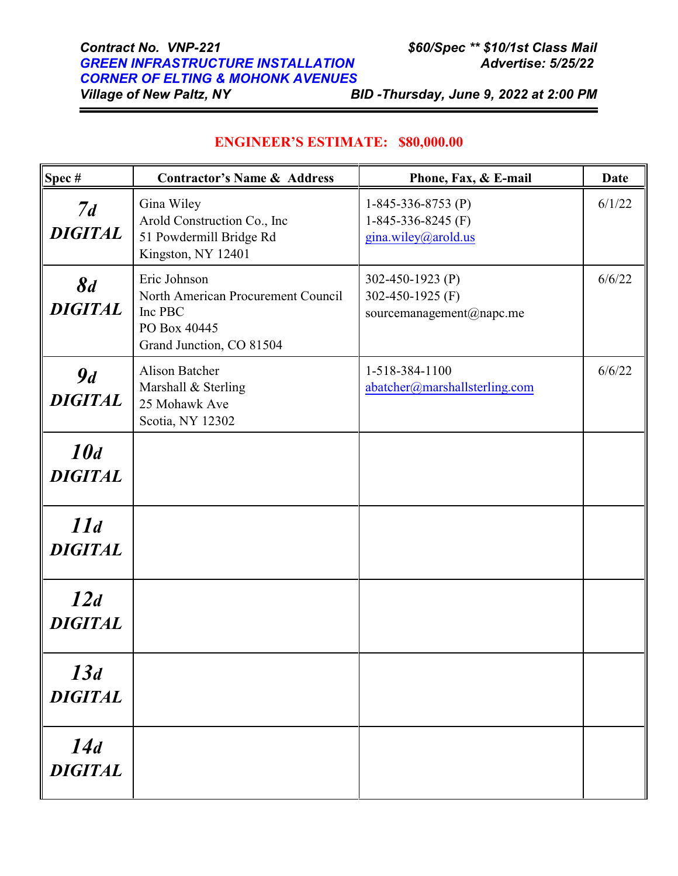# *Contract No. VNP-221 \$60/Spec \*\* \$10/1st Class Mail GREEN INFRASTRUCTURE INSTALLATION Advertise: 5/25/22 CORNER OF ELTING & MOHONK AVENUES*

*Village of New Paltz, NY BID -Thursday, June 9, 2022 at 2:00 PM*

| Spec#                 | <b>Contractor's Name &amp; Address</b>                                                                    | Phone, Fax, & E-mail                                                | <b>Date</b> |
|-----------------------|-----------------------------------------------------------------------------------------------------------|---------------------------------------------------------------------|-------------|
| 7d<br><b>DIGITAL</b>  | Gina Wiley<br>Arold Construction Co., Inc<br>51 Powdermill Bridge Rd<br>Kingston, NY 12401                | 1-845-336-8753 $(P)$<br>1-845-336-8245 $(F)$<br>gina.wiley@arold.us | 6/1/22      |
| 8d<br><b>DIGITAL</b>  | Eric Johnson<br>North American Procurement Council<br>Inc PBC<br>PO Box 40445<br>Grand Junction, CO 81504 | 302-450-1923 (P)<br>302-450-1925 (F)<br>sourcemanagement@napc.me    | 6/6/22      |
| 9d<br><b>DIGITAL</b>  | <b>Alison Batcher</b><br>Marshall & Sterling<br>25 Mohawk Ave<br>Scotia, NY 12302                         | 1-518-384-1100<br>abatcher@marshallsterling.com                     | 6/6/22      |
| 10d<br><b>DIGITAL</b> |                                                                                                           |                                                                     |             |
| 11d<br><b>DIGITAL</b> |                                                                                                           |                                                                     |             |
| 12d<br><b>DIGITAL</b> |                                                                                                           |                                                                     |             |
| 13d<br><b>DIGITAL</b> |                                                                                                           |                                                                     |             |
| 14d<br><b>DIGITAL</b> |                                                                                                           |                                                                     |             |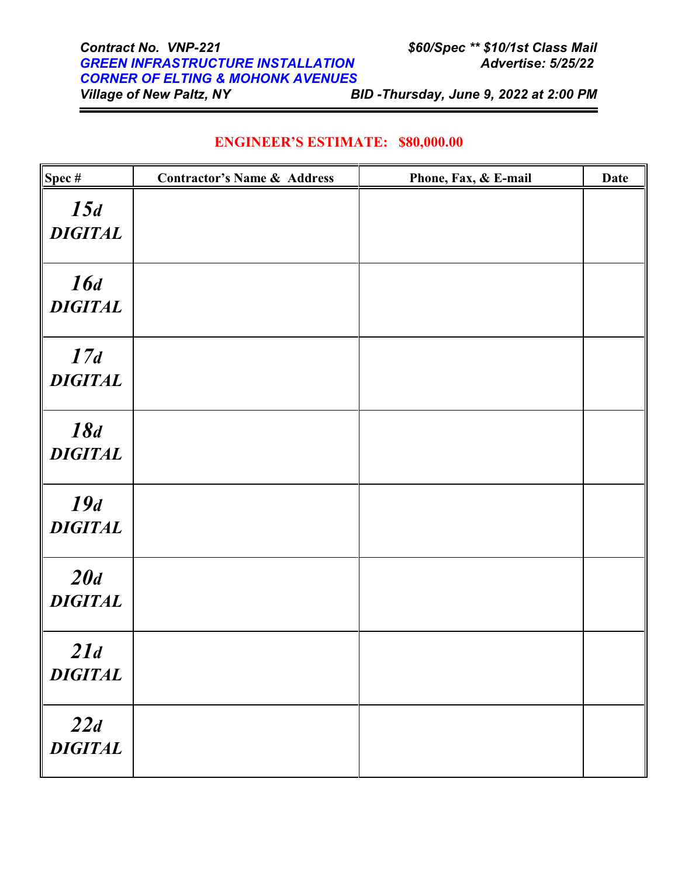*Village of New Paltz, NY BID -Thursday, June 9, 2022 at 2:00 PM*

| $\sqrt{\text{Spec } \#}$ | <b>Contractor's Name &amp; Address</b> | Phone, Fax, & E-mail | <b>Date</b> |
|--------------------------|----------------------------------------|----------------------|-------------|
| 15d<br><b>DIGITAL</b>    |                                        |                      |             |
| 16d<br><b>DIGITAL</b>    |                                        |                      |             |
| 17d<br><b>DIGITAL</b>    |                                        |                      |             |
| 18d<br><b>DIGITAL</b>    |                                        |                      |             |
| 19d<br><b>DIGITAL</b>    |                                        |                      |             |
| 20d<br><b>DIGITAL</b>    |                                        |                      |             |
| 21d<br><b>DIGITAL</b>    |                                        |                      |             |
| 22d<br><b>DIGITAL</b>    |                                        |                      |             |